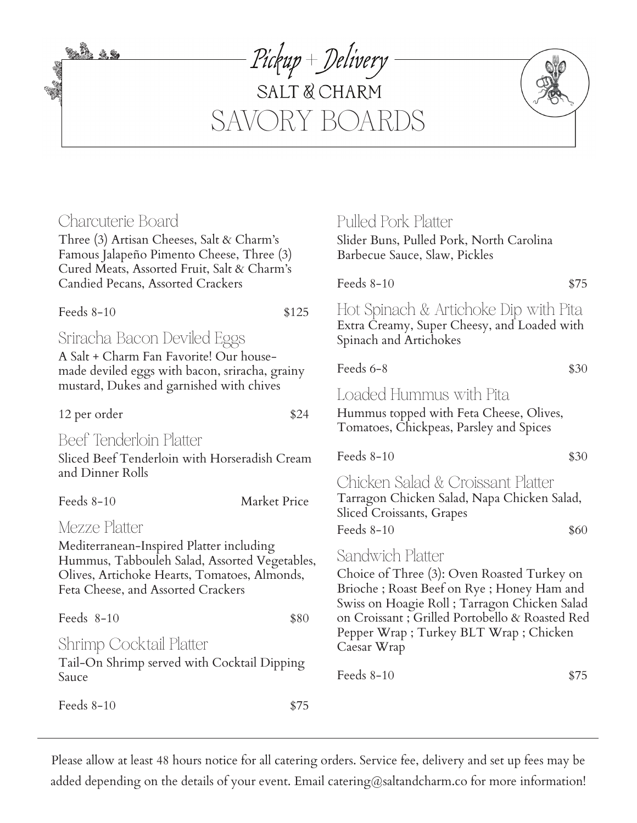Charcuterie Board Three (3) Artisan Cheeses, Salt & Charm's Famous Jalapeño Pimento Cheese, Three (3) Cured Meats, Assorted Fruit, Salt & Charm's Candied Pecans, Assorted Crackers Feeds 8-10 \$125 Sriracha Bacon Deviled Eggs A Salt + Charm Fan Favorite! Our housemade deviled eggs with bacon, sriracha, grainy mustard, Dukes and garnished with chives 12 per order \$24 Beef Tenderloin Platter Sliced Beef Tenderloin with Horseradish Cream and Dinner Rolls Feeds 8-10 Market Price Mezze Platter Mediterranean-Inspired Platter including Hummus, Tabbouleh Salad, Assorted Vegetables, Olives, Artichoke Hearts, Tomatoes, Almonds, Feta Cheese, and Assorted Crackers Feeds 8-10 \$80 Shrimp Cocktail Platter Tail-On Shrimp served with Cocktail Dipping SAVORY BOARDS Pulled Pork Platter Slider Buns, Pulled Pork, North Carolina Barbecue Sauce, Slaw, Pickles Feeds  $8-10$  \$75 Hot Spinach & Artichoke Dip with Pita Extra Creamy, Super Cheesy, and Loaded with Spinach and Artichokes Feeds  $6-8$   $$30$ Loaded Hummus with Pita Hummus topped with Feta Cheese, Olives, Tomatoes, Chickpeas, Parsley and Spices Feeds  $8-10$  \$30 Chicken Salad & Croissant Platter Tarragon Chicken Salad, Napa Chicken Salad, Sliced Croissants, Grapes Feeds  $8-10$  \$60 Sandwich Platter Choice of Three (3): Oven Roasted Turkey on Brioche ; Roast Beef on Rye ; Honey Ham and Swiss on Hoagie Roll ; Tarragon Chicken Salad on Croissant ; Grilled Portobello & Roasted Red Pepper Wrap ; Turkey BLT Wrap ; Chicken Caesar Wrap

Pickup + Delivery

SALT & CHARM

Please allow at least 48 hours notice for all catering orders. Service fee, delivery and set up fees may be added depending on the details of your event. Email catering@saltandcharm.co for more information!

Feeds  $8-10$  \$75

Sauce

<u>så 13</u>

Feeds  $8-10$  \$75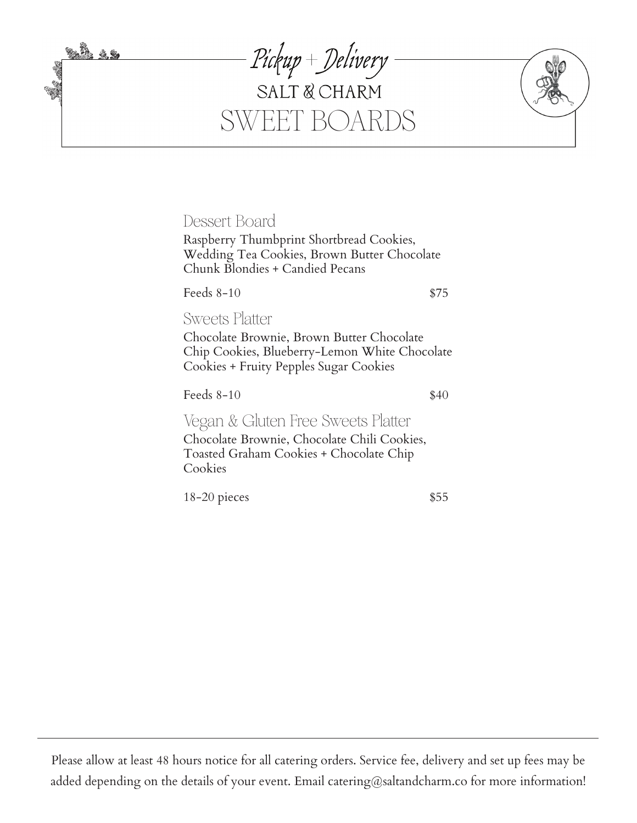

Dessert Board

Raspberry Thumbprint Shortbread Cookies, Wedding Tea Cookies, Brown Butter Chocolate Chunk Blondies + Candied Pecans

Feeds  $8-10$  \$75

Sweets Platter

Chocolate Brownie, Brown Butter Chocolate Chip Cookies, Blueberry-Lemon White Chocolate Cookies + Fruity Pepples Sugar Cookies

Feeds  $8-10$  \$40

Vegan & Gluten Free Sweets Platter Chocolate Brownie, Chocolate Chili Cookies, Toasted Graham Cookies + Chocolate Chip Cookies

18-20 pieces \$55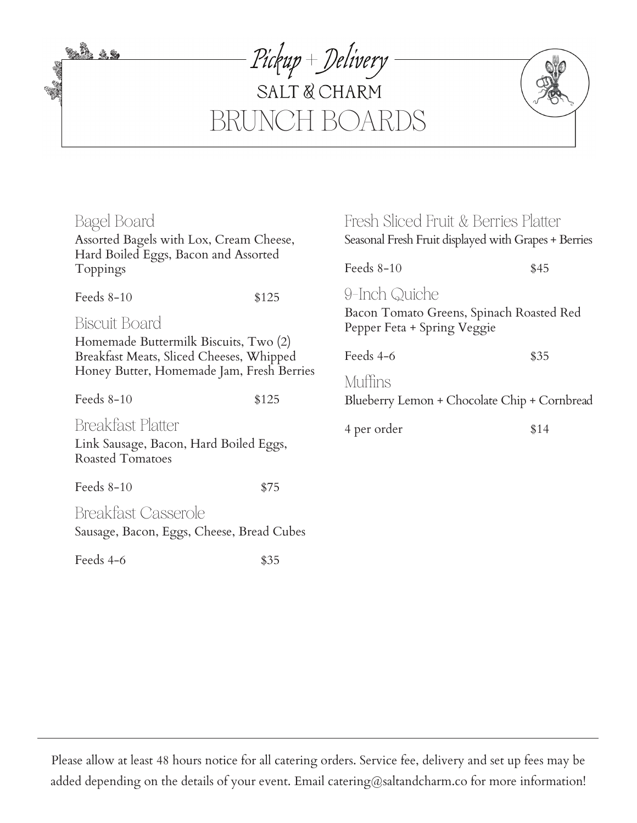<u>tin 19</u> **Service** 





| Bagel Board                                                                                                                                            |       | Fresh Sliced Fruit & Berries Platter                                    |      |  |
|--------------------------------------------------------------------------------------------------------------------------------------------------------|-------|-------------------------------------------------------------------------|------|--|
| Assorted Bagels with Lox, Cream Cheese,                                                                                                                |       | Seasonal Fresh Fruit displayed with Grapes + Berries                    |      |  |
| Hard Boiled Eggs, Bacon and Assorted<br>Toppings                                                                                                       |       | Feeds $8-10$                                                            | \$45 |  |
| Feeds $8-10$                                                                                                                                           | \$125 | 9-Inch Quiche                                                           |      |  |
| <b>Biscuit Board</b><br>Homemade Buttermilk Biscuits, Two (2)<br>Breakfast Meats, Sliced Cheeses, Whipped<br>Honey Butter, Homemade Jam, Fresh Berries |       | Bacon Tomato Greens, Spinach Roasted Red<br>Pepper Feta + Spring Veggie |      |  |
|                                                                                                                                                        |       | Feeds 4-6                                                               | \$35 |  |
|                                                                                                                                                        |       | Muffins                                                                 |      |  |
| Feeds $8-10$                                                                                                                                           | \$125 | Blueberry Lemon + Chocolate Chip + Cornbread                            |      |  |
| <b>Breakfast Platter</b><br>Link Sausage, Bacon, Hard Boiled Eggs,<br>Roasted Tomatoes                                                                 |       | 4 per order                                                             | \$14 |  |
| Feeds $8-10$                                                                                                                                           | \$75  |                                                                         |      |  |
| <b>Breakfast Casserole</b><br>Sausage, Bacon, Eggs, Cheese, Bread Cubes                                                                                |       |                                                                         |      |  |

Feeds  $4-6$  \$35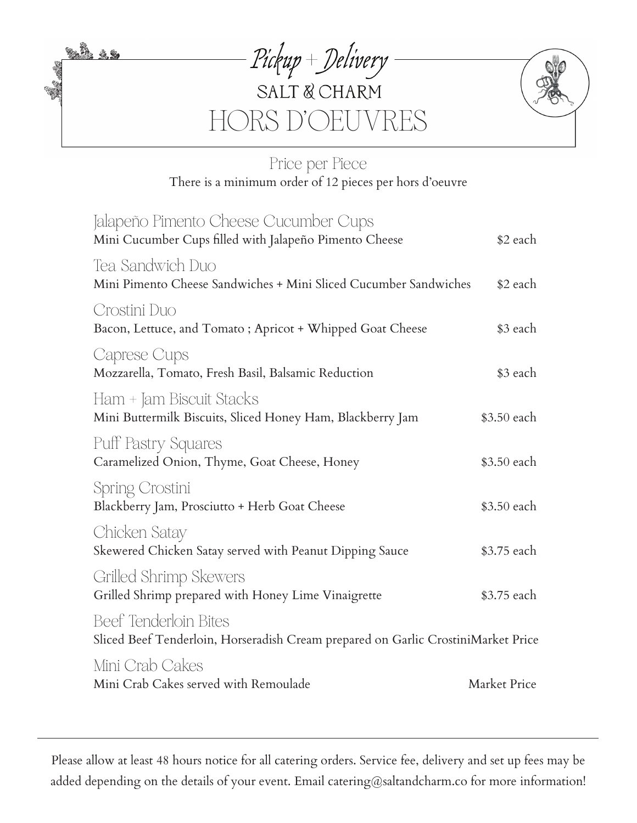<u>tað 19</u>





# Price per Piece There is a minimum order of 12 pieces per hors d'oeuvre

| Jalapeño Pimento Cheese Cucumber Cups<br>Mini Cucumber Cups filled with Jalapeño Pimento Cheese            | \$2 each     |
|------------------------------------------------------------------------------------------------------------|--------------|
| Tea Sandwich Duo<br>Mini Pimento Cheese Sandwiches + Mini Sliced Cucumber Sandwiches                       | \$2 each     |
| Crostini Duo<br>Bacon, Lettuce, and Tomato; Apricot + Whipped Goat Cheese                                  | \$3 each     |
| Caprese Cups<br>Mozzarella, Tomato, Fresh Basil, Balsamic Reduction                                        | \$3 each     |
| Ham + Jam Biscuit Stacks<br>Mini Buttermilk Biscuits, Sliced Honey Ham, Blackberry Jam                     | \$3.50 each  |
| Puff Pastry Squares<br>Caramelized Onion, Thyme, Goat Cheese, Honey                                        | \$3.50 each  |
| Spring Crostini<br>Blackberry Jam, Prosciutto + Herb Goat Cheese                                           | \$3.50 each  |
| Chicken Satay<br>Skewered Chicken Satay served with Peanut Dipping Sauce                                   | \$3.75 each  |
| Grilled Shrimp Skewers<br>Grilled Shrimp prepared with Honey Lime Vinaigrette                              | \$3.75 each  |
| Beef Tenderloin Bites<br>Sliced Beef Tenderloin, Horseradish Cream prepared on Garlic CrostiniMarket Price |              |
| Mini Crab Cakes<br>Mini Crab Cakes served with Remoulade                                                   | Market Price |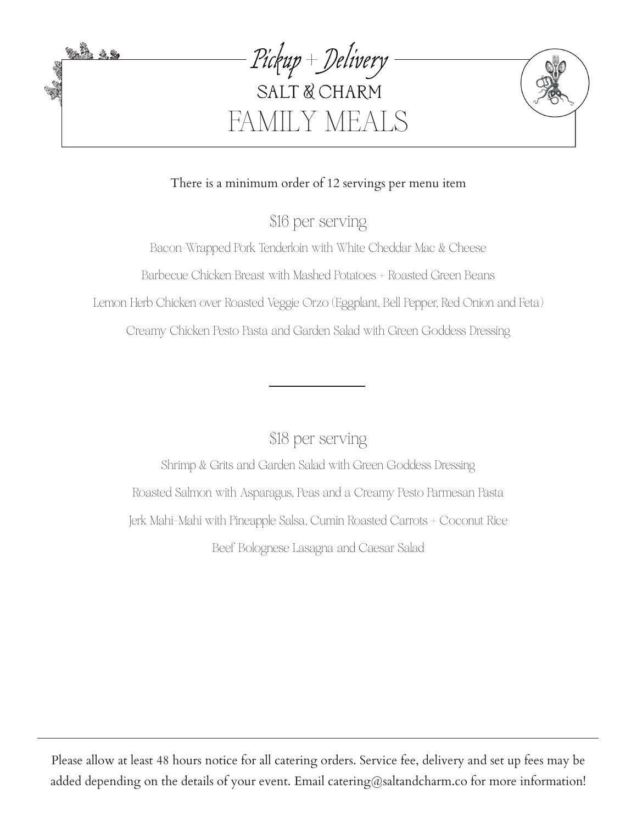

### There is a minimum order of 12 servings per menu item

\$16 per serving

Bacon-Wrapped Pork Tenderloin with White Cheddar Mac & Cheese Barbecue Chicken Breast with Mashed Potatoes + Roasted Green Beans Lemon Herb Chicken over Roasted Veggie Orzo (Eggplant, Bell Pepper, Red Onion and Feta) Creamy Chicken Pesto Pasta and Garden Salad with Green Goddess Dressing

\$18 per serving

Shrimp & Grits and Garden Salad with Green Goddess Dressing Roasted Salmon with Asparagus, Peas and a Creamy Pesto Parmesan Pasta Jerk Mahi-Mahi with Pineapple Salsa, Cumin Roasted Carrots + Coconut Rice Beef Bolognese Lasagna and Caesar Salad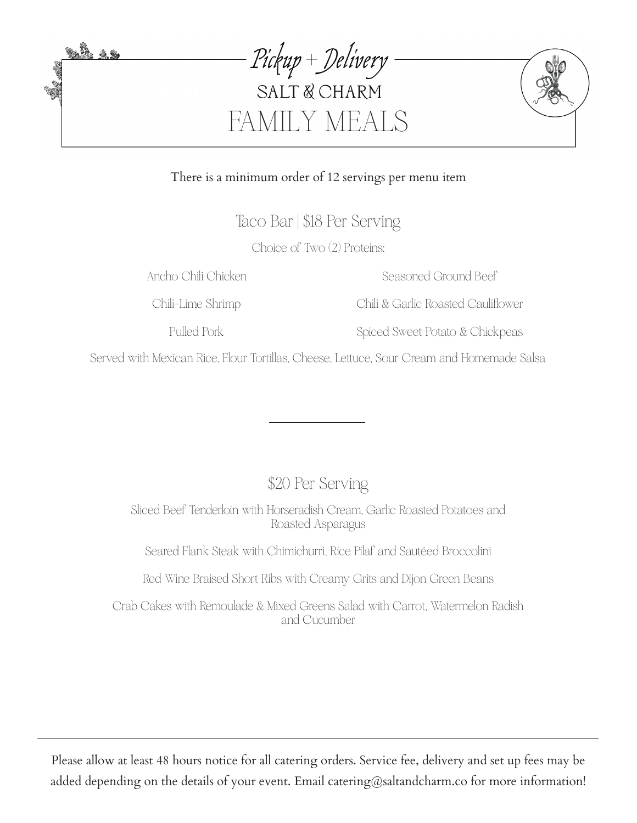

#### There is a minimum order of 12 servings per menu item

Taco Bar | \$18 Per Serving

Choice of Two (2) Proteins:

Ancho Chili Chicken

Seasoned Ground Beef

Chili-Lime Shrimp

Pulled Pork

Chili & Garlic Roasted Cauliflower

Spiced Sweet Potato & Chickpeas

Served with Mexican Rice, Flour Tortillas, Cheese, Lettuce, Sour Cream and Homemade Salsa

\$20 Per Serving

Sliced Beef Tenderloin with Horseradish Cream, Garlic Roasted Potatoes and Roasted Asparagus

Seared Flank Steak with Chimichurri, Rice Pilaf and Sautéed Broccolini

Red Wine Braised Short Ribs with Creamy Grits and Dijon Green Beans

Crab Cakes with Remoulade & Mixed Greens Salad with Carrot, Watermelon Radish and Cucumber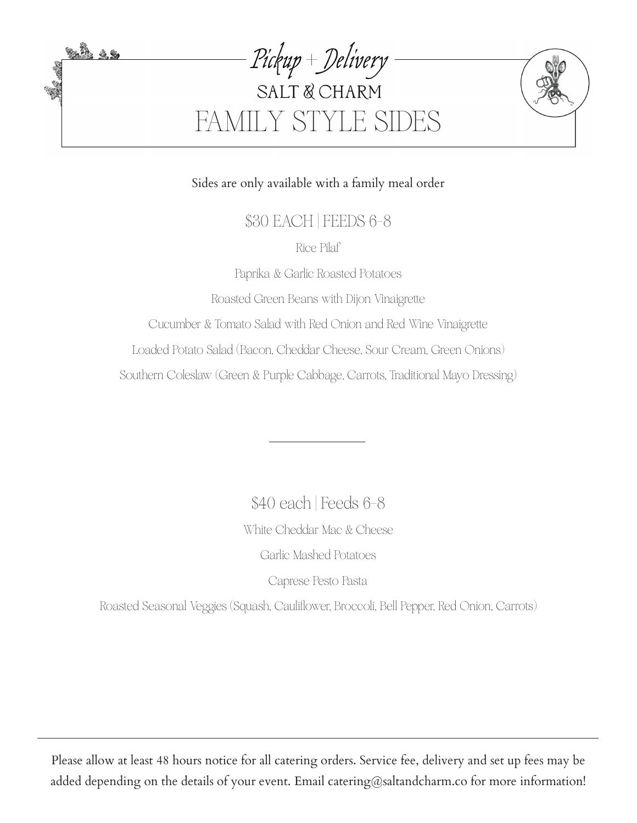

Sides are only available with a family meal order

\$30 EACH | FEEDS 6-8

Rice Pilaf

Paprika & Garlic Roasted Potatoes

Roasted Green Beans with Dijon Vinaigrette

Cucumber & Tomato Salad with Red Onion and Red Wine Vinaigrette

Loaded Potato Salad (Bacon, Cheddar Cheese, Sour Cream, Green Onions)

Southern Coleslaw (Green & Purple Cabbage, Carrots, Traditional Mayo Dressing)

White Cheddar Mac & Cheese Garlic Mashed Potatoes Caprese Pesto Pasta \$40 each | Feeds 6-8

Roasted Seasonal Veggies (Squash, Cauliflower, Broccoli, Bell Pepper, Red Onion, Carrots)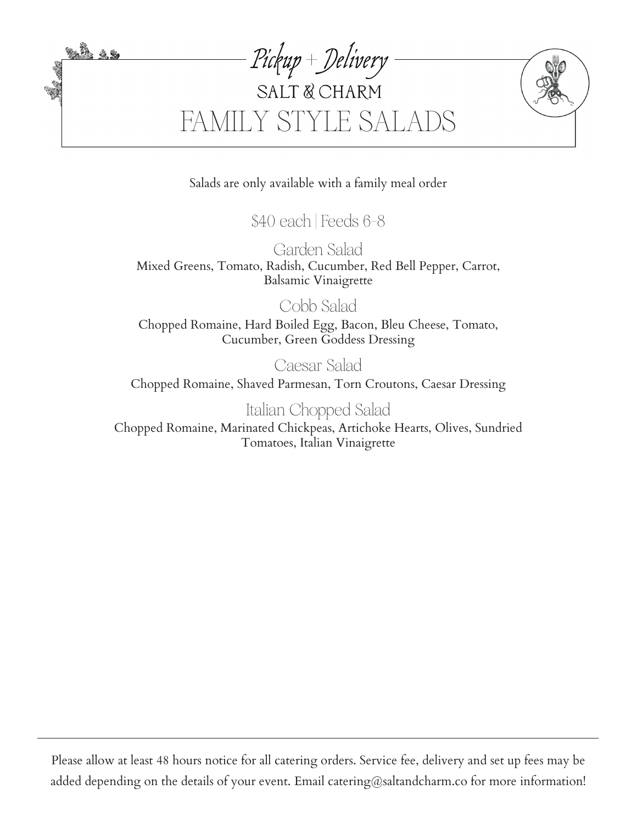

Salads are only available with a family meal order

\$40 each | Feeds 6-8

Garden Salad Mixed Greens, Tomato, Radish, Cucumber, Red Bell Pepper, Carrot, Balsamic Vinaigrette

Cobb Salad

Chopped Romaine, Hard Boiled Egg, Bacon, Bleu Cheese, Tomato, Cucumber, Green Goddess Dressing

Caesar Salad

Chopped Romaine, Shaved Parmesan, Torn Croutons, Caesar Dressing

Italian Chopped Salad

Chopped Romaine, Marinated Chickpeas, Artichoke Hearts, Olives, Sundried Tomatoes, Italian Vinaigrette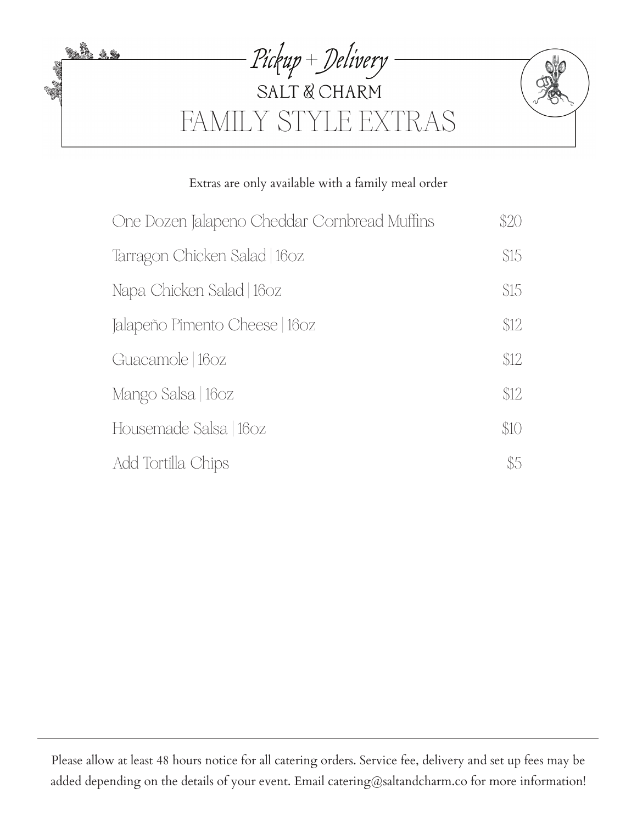

## Extras are only available with a family meal order

| One Dozen Jalapeno Cheddar Cornbread Muffins | \$20 |
|----------------------------------------------|------|
| Tarragon Chicken Salad   160z                | \$15 |
| Napa Chicken Salad   160z                    | \$15 |
| Jalapeño Pimento Cheese   160z               | \$12 |
| Guacamole   160z                             | \$12 |
| Mango Salsa   160z                           | \$12 |
| Housemade Salsa   160z                       | \$10 |
| Add Tortilla Chips                           | \$5  |

Please allow at least 48 hours notice for all catering orders. Service fee, delivery and set up fees may be added depending on the details of your event. Email catering@saltandcharm.co for more information!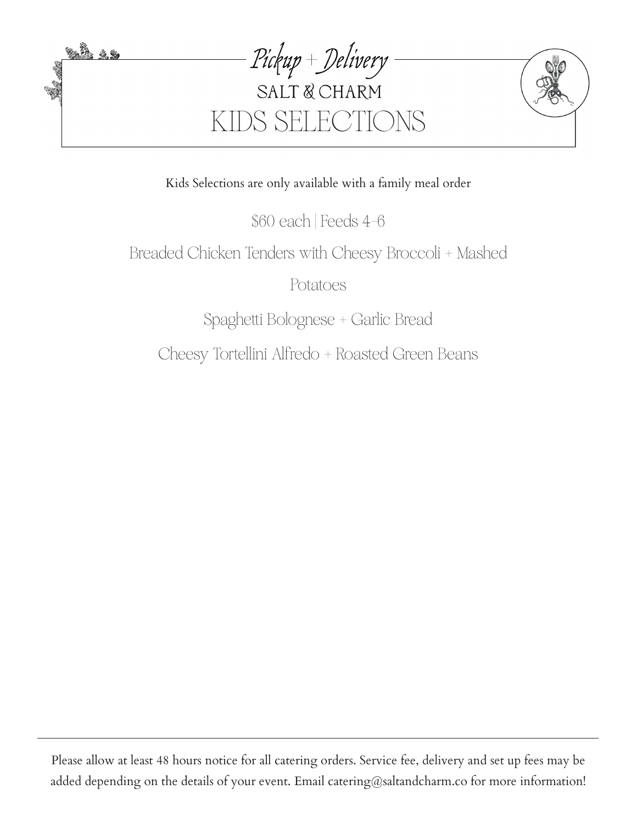

Kids Selections are only available with a family meal order

\$60 each | Feeds 4-6

# Breaded Chicken Tenders with Cheesy Broccoli + Mashed

Potatoes

Spaghetti Bolognese + Garlic Bread

Cheesy Tortellini Alfredo + Roasted Green Beans